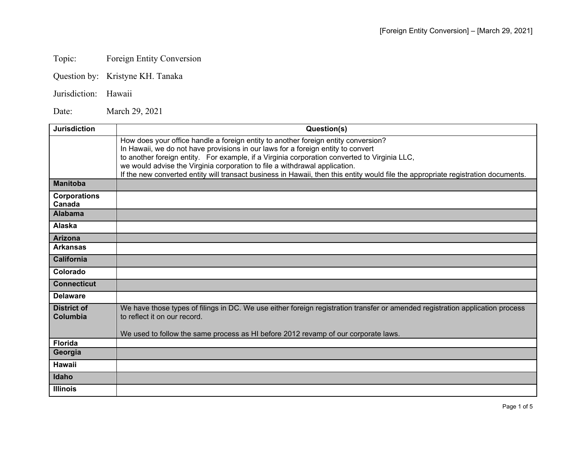## Topic: Foreign Entity Conversion

Question by: Kristyne KH. Tanaka

## Jurisdiction: Hawaii

Date: March 29, 2021

| <b>Jurisdiction</b>            | Question(s)                                                                                                                                                                                                                                                                                                                                                                                                                                                                               |
|--------------------------------|-------------------------------------------------------------------------------------------------------------------------------------------------------------------------------------------------------------------------------------------------------------------------------------------------------------------------------------------------------------------------------------------------------------------------------------------------------------------------------------------|
|                                | How does your office handle a foreign entity to another foreign entity conversion?<br>In Hawaii, we do not have provisions in our laws for a foreign entity to convert<br>to another foreign entity. For example, if a Virginia corporation converted to Virginia LLC,<br>we would advise the Virginia corporation to file a withdrawal application.<br>If the new converted entity will transact business in Hawaii, then this entity would file the appropriate registration documents. |
| <b>Manitoba</b>                |                                                                                                                                                                                                                                                                                                                                                                                                                                                                                           |
| <b>Corporations</b><br>Canada  |                                                                                                                                                                                                                                                                                                                                                                                                                                                                                           |
| <b>Alabama</b>                 |                                                                                                                                                                                                                                                                                                                                                                                                                                                                                           |
| Alaska                         |                                                                                                                                                                                                                                                                                                                                                                                                                                                                                           |
| <b>Arizona</b>                 |                                                                                                                                                                                                                                                                                                                                                                                                                                                                                           |
| <b>Arkansas</b>                |                                                                                                                                                                                                                                                                                                                                                                                                                                                                                           |
| <b>California</b>              |                                                                                                                                                                                                                                                                                                                                                                                                                                                                                           |
| Colorado                       |                                                                                                                                                                                                                                                                                                                                                                                                                                                                                           |
| <b>Connecticut</b>             |                                                                                                                                                                                                                                                                                                                                                                                                                                                                                           |
| <b>Delaware</b>                |                                                                                                                                                                                                                                                                                                                                                                                                                                                                                           |
| <b>District of</b><br>Columbia | We have those types of filings in DC. We use either foreign registration transfer or amended registration application process<br>to reflect it on our record.<br>We used to follow the same process as HI before 2012 revamp of our corporate laws.                                                                                                                                                                                                                                       |
| <b>Florida</b>                 |                                                                                                                                                                                                                                                                                                                                                                                                                                                                                           |
| Georgia                        |                                                                                                                                                                                                                                                                                                                                                                                                                                                                                           |
| <b>Hawaii</b>                  |                                                                                                                                                                                                                                                                                                                                                                                                                                                                                           |
| Idaho                          |                                                                                                                                                                                                                                                                                                                                                                                                                                                                                           |
| <b>Illinois</b>                |                                                                                                                                                                                                                                                                                                                                                                                                                                                                                           |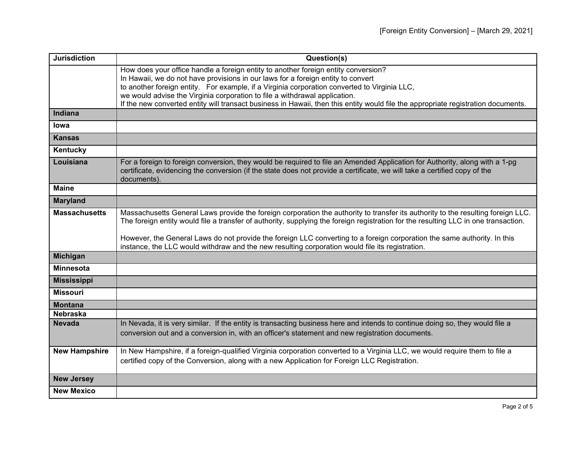| <b>Jurisdiction</b>  | Question(s)                                                                                                                                                                                                                                                             |
|----------------------|-------------------------------------------------------------------------------------------------------------------------------------------------------------------------------------------------------------------------------------------------------------------------|
|                      | How does your office handle a foreign entity to another foreign entity conversion?                                                                                                                                                                                      |
|                      | In Hawaii, we do not have provisions in our laws for a foreign entity to convert<br>to another foreign entity. For example, if a Virginia corporation converted to Virginia LLC,                                                                                        |
|                      | we would advise the Virginia corporation to file a withdrawal application.                                                                                                                                                                                              |
|                      | If the new converted entity will transact business in Hawaii, then this entity would file the appropriate registration documents.                                                                                                                                       |
| <b>Indiana</b>       |                                                                                                                                                                                                                                                                         |
| lowa                 |                                                                                                                                                                                                                                                                         |
| <b>Kansas</b>        |                                                                                                                                                                                                                                                                         |
| Kentucky             |                                                                                                                                                                                                                                                                         |
| Louisiana            | For a foreign to foreign conversion, they would be required to file an Amended Application for Authority, along with a 1-pg<br>certificate, evidencing the conversion (if the state does not provide a certificate, we will take a certified copy of the<br>documents). |
| <b>Maine</b>         |                                                                                                                                                                                                                                                                         |
| <b>Maryland</b>      |                                                                                                                                                                                                                                                                         |
| <b>Massachusetts</b> | Massachusetts General Laws provide the foreign corporation the authority to transfer its authority to the resulting foreign LLC.<br>The foreign entity would file a transfer of authority, supplying the foreign registration for the resulting LLC in one transaction. |
|                      | However, the General Laws do not provide the foreign LLC converting to a foreign corporation the same authority. In this<br>instance, the LLC would withdraw and the new resulting corporation would file its registration.                                             |
| <b>Michigan</b>      |                                                                                                                                                                                                                                                                         |
| <b>Minnesota</b>     |                                                                                                                                                                                                                                                                         |
| <b>Mississippi</b>   |                                                                                                                                                                                                                                                                         |
| <b>Missouri</b>      |                                                                                                                                                                                                                                                                         |
| <b>Montana</b>       |                                                                                                                                                                                                                                                                         |
| <b>Nebraska</b>      |                                                                                                                                                                                                                                                                         |
| <b>Nevada</b>        | In Nevada, it is very similar. If the entity is transacting business here and intends to continue doing so, they would file a                                                                                                                                           |
|                      | conversion out and a conversion in, with an officer's statement and new registration documents.                                                                                                                                                                         |
| <b>New Hampshire</b> | In New Hampshire, if a foreign-qualified Virginia corporation converted to a Virginia LLC, we would require them to file a                                                                                                                                              |
|                      | certified copy of the Conversion, along with a new Application for Foreign LLC Registration.                                                                                                                                                                            |
| <b>New Jersey</b>    |                                                                                                                                                                                                                                                                         |
| <b>New Mexico</b>    |                                                                                                                                                                                                                                                                         |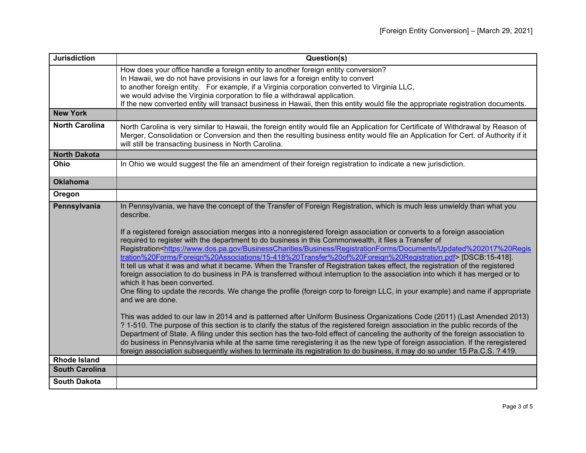| <b>Jurisdiction</b>   | Question(s)                                                                                                                                                                                                                                                                                                                                                                                                                                                                                                                                                                                                                                                                                                                                                                                                                                                                                                                                                                                                                                                                                                                                                                                                                                                                                                                                                                                                                                                                                                                                                                                                                                                                                                                                                                       |
|-----------------------|-----------------------------------------------------------------------------------------------------------------------------------------------------------------------------------------------------------------------------------------------------------------------------------------------------------------------------------------------------------------------------------------------------------------------------------------------------------------------------------------------------------------------------------------------------------------------------------------------------------------------------------------------------------------------------------------------------------------------------------------------------------------------------------------------------------------------------------------------------------------------------------------------------------------------------------------------------------------------------------------------------------------------------------------------------------------------------------------------------------------------------------------------------------------------------------------------------------------------------------------------------------------------------------------------------------------------------------------------------------------------------------------------------------------------------------------------------------------------------------------------------------------------------------------------------------------------------------------------------------------------------------------------------------------------------------------------------------------------------------------------------------------------------------|
|                       | How does your office handle a foreign entity to another foreign entity conversion?<br>In Hawaii, we do not have provisions in our laws for a foreign entity to convert                                                                                                                                                                                                                                                                                                                                                                                                                                                                                                                                                                                                                                                                                                                                                                                                                                                                                                                                                                                                                                                                                                                                                                                                                                                                                                                                                                                                                                                                                                                                                                                                            |
|                       | to another foreign entity. For example, if a Virginia corporation converted to Virginia LLC,                                                                                                                                                                                                                                                                                                                                                                                                                                                                                                                                                                                                                                                                                                                                                                                                                                                                                                                                                                                                                                                                                                                                                                                                                                                                                                                                                                                                                                                                                                                                                                                                                                                                                      |
|                       | we would advise the Virginia corporation to file a withdrawal application.<br>If the new converted entity will transact business in Hawaii, then this entity would file the appropriate registration documents.                                                                                                                                                                                                                                                                                                                                                                                                                                                                                                                                                                                                                                                                                                                                                                                                                                                                                                                                                                                                                                                                                                                                                                                                                                                                                                                                                                                                                                                                                                                                                                   |
| <b>New York</b>       |                                                                                                                                                                                                                                                                                                                                                                                                                                                                                                                                                                                                                                                                                                                                                                                                                                                                                                                                                                                                                                                                                                                                                                                                                                                                                                                                                                                                                                                                                                                                                                                                                                                                                                                                                                                   |
|                       |                                                                                                                                                                                                                                                                                                                                                                                                                                                                                                                                                                                                                                                                                                                                                                                                                                                                                                                                                                                                                                                                                                                                                                                                                                                                                                                                                                                                                                                                                                                                                                                                                                                                                                                                                                                   |
| <b>North Carolina</b> | North Carolina is very similar to Hawaii, the foreign entity would file an Application for Certificate of Withdrawal by Reason of<br>Merger, Consolidation or Conversion and then the resulting business entity would file an Application for Cert. of Authority if it<br>will still be transacting business in North Carolina.                                                                                                                                                                                                                                                                                                                                                                                                                                                                                                                                                                                                                                                                                                                                                                                                                                                                                                                                                                                                                                                                                                                                                                                                                                                                                                                                                                                                                                                   |
| <b>North Dakota</b>   |                                                                                                                                                                                                                                                                                                                                                                                                                                                                                                                                                                                                                                                                                                                                                                                                                                                                                                                                                                                                                                                                                                                                                                                                                                                                                                                                                                                                                                                                                                                                                                                                                                                                                                                                                                                   |
| Ohio                  | In Ohio we would suggest the file an amendment of their foreign registration to indicate a new jurisdiction.                                                                                                                                                                                                                                                                                                                                                                                                                                                                                                                                                                                                                                                                                                                                                                                                                                                                                                                                                                                                                                                                                                                                                                                                                                                                                                                                                                                                                                                                                                                                                                                                                                                                      |
| <b>Oklahoma</b>       |                                                                                                                                                                                                                                                                                                                                                                                                                                                                                                                                                                                                                                                                                                                                                                                                                                                                                                                                                                                                                                                                                                                                                                                                                                                                                                                                                                                                                                                                                                                                                                                                                                                                                                                                                                                   |
| Oregon                |                                                                                                                                                                                                                                                                                                                                                                                                                                                                                                                                                                                                                                                                                                                                                                                                                                                                                                                                                                                                                                                                                                                                                                                                                                                                                                                                                                                                                                                                                                                                                                                                                                                                                                                                                                                   |
| Pennsylvania          | In Pennsylvania, we have the concept of the Transfer of Foreign Registration, which is much less unwieldy than what you<br>describe.<br>If a registered foreign association merges into a nonregistered foreign association or converts to a foreign association<br>required to register with the department to do business in this Commonwealth, it files a Transfer of<br>Registration <https: business="" businesscharities="" documents="" registrationforms="" updated%202017%20regis<br="" www.dos.pa.gov="">tration%20Forms/Foreign%20Associations/15-418%20Transfer%20of%20Foreign%20Registration.pdf&gt; [DSCB:15-418].<br/>It tell us what it was and what it became. When the Transfer of Registration takes effect, the registration of the registered<br/>foreign association to do business in PA is transferred without interruption to the association into which it has merged or to<br/>which it has been converted.<br/>One filing to update the records. We change the profile (foreign corp to foreign LLC, in your example) and name if appropriate<br/>and we are done.<br/>This was added to our law in 2014 and is patterned after Uniform Business Organizations Code (2011) (Last Amended 2013)<br/>? 1-510. The purpose of this section is to clarify the status of the registered foreign association in the public records of the<br/>Department of State. A filing under this section has the two-fold effect of canceling the authority of the foreign association to<br/>do business in Pennsylvania while at the same time reregistering it as the new type of foreign association. If the reregistered<br/>foreign association subsequently wishes to terminate its registration to do business, it may do so under 15 Pa.C.S. ? 419.</https:> |
| <b>Rhode Island</b>   |                                                                                                                                                                                                                                                                                                                                                                                                                                                                                                                                                                                                                                                                                                                                                                                                                                                                                                                                                                                                                                                                                                                                                                                                                                                                                                                                                                                                                                                                                                                                                                                                                                                                                                                                                                                   |
| <b>South Carolina</b> |                                                                                                                                                                                                                                                                                                                                                                                                                                                                                                                                                                                                                                                                                                                                                                                                                                                                                                                                                                                                                                                                                                                                                                                                                                                                                                                                                                                                                                                                                                                                                                                                                                                                                                                                                                                   |
| <b>South Dakota</b>   |                                                                                                                                                                                                                                                                                                                                                                                                                                                                                                                                                                                                                                                                                                                                                                                                                                                                                                                                                                                                                                                                                                                                                                                                                                                                                                                                                                                                                                                                                                                                                                                                                                                                                                                                                                                   |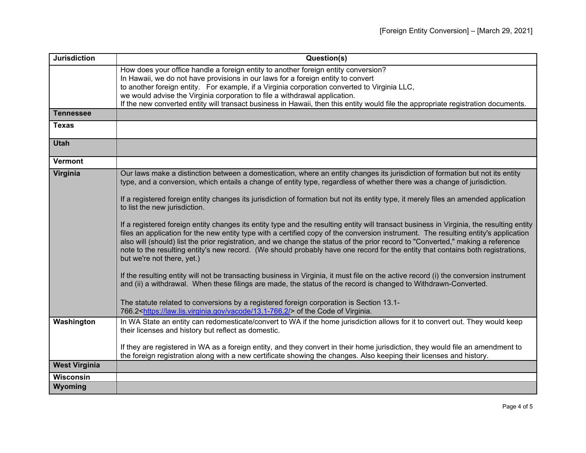| <b>Jurisdiction</b>  | Question(s)                                                                                                                                                                                                                                                                                                                                                                                                                                                                                                                                                                         |
|----------------------|-------------------------------------------------------------------------------------------------------------------------------------------------------------------------------------------------------------------------------------------------------------------------------------------------------------------------------------------------------------------------------------------------------------------------------------------------------------------------------------------------------------------------------------------------------------------------------------|
|                      | How does your office handle a foreign entity to another foreign entity conversion?                                                                                                                                                                                                                                                                                                                                                                                                                                                                                                  |
|                      | In Hawaii, we do not have provisions in our laws for a foreign entity to convert                                                                                                                                                                                                                                                                                                                                                                                                                                                                                                    |
|                      | to another foreign entity. For example, if a Virginia corporation converted to Virginia LLC,                                                                                                                                                                                                                                                                                                                                                                                                                                                                                        |
|                      | we would advise the Virginia corporation to file a withdrawal application.<br>If the new converted entity will transact business in Hawaii, then this entity would file the appropriate registration documents.                                                                                                                                                                                                                                                                                                                                                                     |
| <b>Tennessee</b>     |                                                                                                                                                                                                                                                                                                                                                                                                                                                                                                                                                                                     |
|                      |                                                                                                                                                                                                                                                                                                                                                                                                                                                                                                                                                                                     |
| <b>Texas</b>         |                                                                                                                                                                                                                                                                                                                                                                                                                                                                                                                                                                                     |
| <b>Utah</b>          |                                                                                                                                                                                                                                                                                                                                                                                                                                                                                                                                                                                     |
| Vermont              |                                                                                                                                                                                                                                                                                                                                                                                                                                                                                                                                                                                     |
| Virginia             | Our laws make a distinction between a domestication, where an entity changes its jurisdiction of formation but not its entity<br>type, and a conversion, which entails a change of entity type, regardless of whether there was a change of jurisdiction.                                                                                                                                                                                                                                                                                                                           |
|                      | If a registered foreign entity changes its jurisdiction of formation but not its entity type, it merely files an amended application<br>to list the new jurisdiction.                                                                                                                                                                                                                                                                                                                                                                                                               |
|                      | If a registered foreign entity changes its entity type and the resulting entity will transact business in Virginia, the resulting entity<br>files an application for the new entity type with a certified copy of the conversion instrument. The resulting entity's application<br>also will (should) list the prior registration, and we change the status of the prior record to "Converted," making a reference<br>note to the resulting entity's new record. (We should probably have one record for the entity that contains both registrations,<br>but we're not there, yet.) |
|                      | If the resulting entity will not be transacting business in Virginia, it must file on the active record (i) the conversion instrument<br>and (ii) a withdrawal. When these filings are made, the status of the record is changed to Withdrawn-Converted.                                                                                                                                                                                                                                                                                                                            |
|                      | The statute related to conversions by a registered foreign corporation is Section 13.1-<br>766.2 <https: 13.1-766.2="" law.lis.virginia.gov="" vacode=""></https:> of the Code of Virginia.                                                                                                                                                                                                                                                                                                                                                                                         |
| Washington           | In WA State an entity can redomesticate/convert to WA if the home jurisdiction allows for it to convert out. They would keep<br>their licenses and history but reflect as domestic.                                                                                                                                                                                                                                                                                                                                                                                                 |
|                      | If they are registered in WA as a foreign entity, and they convert in their home jurisdiction, they would file an amendment to<br>the foreign registration along with a new certificate showing the changes. Also keeping their licenses and history.                                                                                                                                                                                                                                                                                                                               |
| <b>West Virginia</b> |                                                                                                                                                                                                                                                                                                                                                                                                                                                                                                                                                                                     |
| Wisconsin            |                                                                                                                                                                                                                                                                                                                                                                                                                                                                                                                                                                                     |
| Wyoming              |                                                                                                                                                                                                                                                                                                                                                                                                                                                                                                                                                                                     |